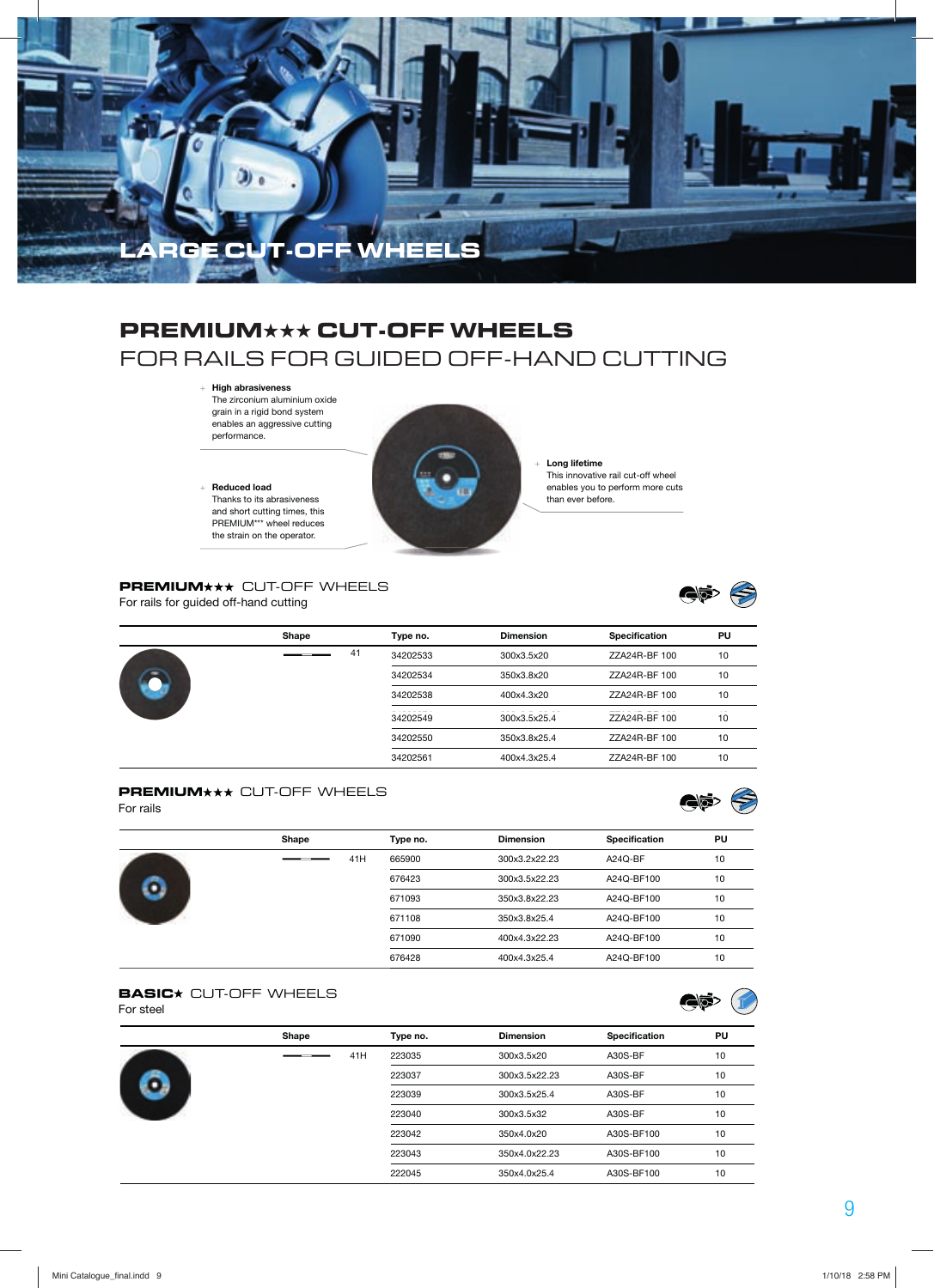

## **PREMIUM**★★★ **CUT-OFF WHEELS** FOR RAILS FOR GUIDED OFF-HAND CUTTING

### + **High abrasiveness**

The zirconium aluminium oxide grain in a rigid bond system enables an aggressive cutting performance.

 + **Reduced load**  Thanks to its abrasiveness and short cutting times, this PREMIUM\*\*\* wheel reduces the strain on the operator.



 + **Long lifetime**  This innovative rail cut-off wheel enables you to perform more cuts than ever before.

#### **PREMIUM\*\*\*** CUT-OFF WHEELS

For rails for guided off-hand cutting



|  | Shape | Type no. | <b>Dimension</b> | Specification | PU |
|--|-------|----------|------------------|---------------|----|
|  | 41    | 34202533 | 300x3.5x20       | ZZA24R-BF 100 | 10 |
|  |       | 34202534 | 350x3.8x20       | ZZA24R-BF 100 | 10 |
|  |       | 34202538 | 400x4.3x20       | ZZA24R-BF 100 | 10 |
|  |       | 34202549 | 300x3.5x25.4     | ZZA24R-BF 100 | 10 |
|  |       | 34202550 | 350x3.8x25.4     | ZZA24R-BF 100 | 10 |
|  |       | 34202561 | 400x4.3x25.4     | ZZA24R-BF 100 | 10 |

# **PREMIUM\*\*\*** CUT-OFF WHEELS<br>For rails

| -----------<br>For rails | ----  |          |                  |               | <美好 . |
|--------------------------|-------|----------|------------------|---------------|-------|
|                          | Shape | Type no. | <b>Dimension</b> | Specification | PU    |
|                          | 41H   | 665900   | 300x3.2x22.23    | A24Q-BF       | 10    |
|                          |       | 676423   | 300x3.5x22.23    | A24Q-BF100    | 10    |
|                          |       | 671093   | 350x3.8x22.23    | A24Q-BF100    | 10    |
|                          |       | 671108   | 350x3.8x25.4     | A24Q-BF100    | 10    |
|                          |       | 671090   | 400x4.3x22.23    | A24Q-BF100    | 10    |
|                          |       | 676428   | 400x4.3x25.4     | A24Q-BF100    | 10    |

#### **BASIC**<sup>\*</sup> CUT-OFF WHEELS

For steel

| וטטוס וט |       |     |          |                  |               |    |
|----------|-------|-----|----------|------------------|---------------|----|
|          | Shape |     | Type no. | <b>Dimension</b> | Specification | PU |
|          |       | 41H | 223035   | 300x3.5x20       | A30S-BF       | 10 |
|          |       |     | 223037   | 300x3.5x22.23    | A30S-BF       | 10 |
|          |       |     | 223039   | 300x3.5x25.4     | A30S-BF       | 10 |
|          |       |     | 223040   | 300x3.5x32       | A30S-BF       | 10 |
|          |       |     | 223042   | 350x4.0x20       | A30S-BF100    | 10 |
|          |       |     | 223043   | 350x4.0x22.23    | A30S-BF100    | 10 |
|          |       |     | 222045   | 350x4.0x25.4     | A30S-BF100    | 10 |